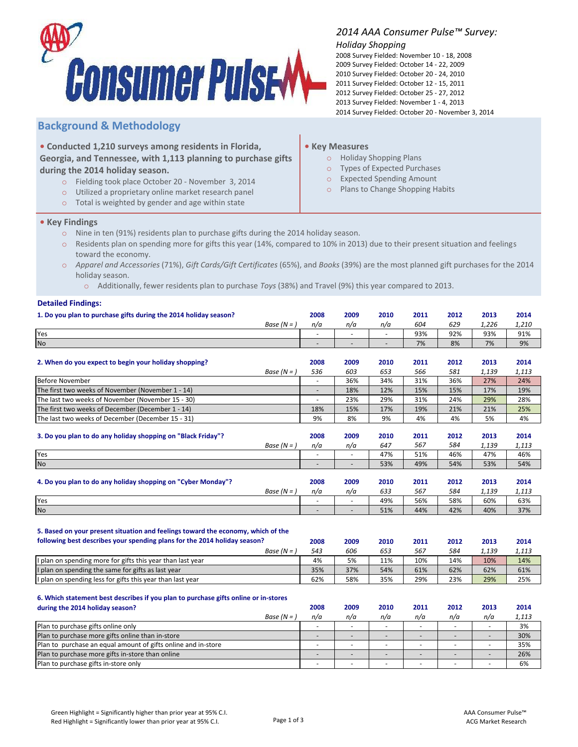

## **Background & Methodology**

**• Conducted 1,210 surveys among residents in Florida, Georgia, and Tennessee, with 1,113 planning to purchase gifts during the 2014 holiday season.**

- o Fielding took place October 20 November 3, 2014
- o Utilized a proprietary online market research panel
- o Total is weighted by gender and age within state

## *2014 AAA Consumer Pulse™ Survey:*

## *Holiday Shopping*

2014 Survey Fielded: October 20 - November 3, 2014 2008 Survey Fielded: November 10 - 18, 2008 2009 Survey Fielded: October 14 - 22, 2009 2010 Survey Fielded: October 20 - 24, 2010 2011 Survey Fielded: October 12 - 15, 2011 2012 Survey Fielded: October 25 - 27, 2012 2013 Survey Fielded: November 1 - 4, 2013

## **• Key Measures**

- o Holiday Shopping Plans
- o Types of Expected Purchases
- o Expected Spending Amount
- o Plans to Change Shopping Habits

- **• Key Findings**
	- o Nine in ten (91%) residents plan to purchase gifts during the 2014 holiday season.
	- o Residents plan on spending more for gifts this year (14%, compared to 10% in 2013) due to their present situation and feelings toward the economy.
	- o *Apparel and Accessories* (71%), *Gift Cards/Gift Certificates* (65%), and *Books* (39%) are the most planned gift purchases for the 2014 holiday season.
		- o Additionally, fewer residents plan to purchase *Toys* (38%) and Travel (9%) this year compared to 2013.

#### **Detailed Findings:**

| 1. Do you plan to purchase gifts during the 2014 holiday season?                    |                          | 2009                     | 2010                     | 2011 | 2012 | 2013  | 2014  |
|-------------------------------------------------------------------------------------|--------------------------|--------------------------|--------------------------|------|------|-------|-------|
| Base $(N = )$                                                                       | n/a                      | n/a                      | n/a                      | 604  | 629  | 1,226 | 1,210 |
| Yes                                                                                 | $\overline{\phantom{a}}$ | $\overline{\phantom{a}}$ | $\overline{\phantom{a}}$ | 93%  | 92%  | 93%   | 91%   |
| No                                                                                  | $\overline{\phantom{a}}$ |                          | ÷,                       | 7%   | 8%   | 7%    | 9%    |
|                                                                                     |                          |                          |                          |      |      |       |       |
| 2. When do you expect to begin your holiday shopping?                               | 2008                     | 2009                     | 2010                     | 2011 | 2012 | 2013  | 2014  |
| Base $(N = )$                                                                       | 536                      | 603                      | 653                      | 566  | 581  | 1,139 | 1,113 |
| <b>Before November</b>                                                              |                          | 36%                      | 34%                      | 31%  | 36%  | 27%   | 24%   |
| The first two weeks of November (November 1 - 14)                                   |                          | 18%                      | 12%                      | 15%  | 15%  | 17%   | 19%   |
| The last two weeks of November (November 15 - 30)                                   | $\overline{\phantom{a}}$ | 23%                      | 29%                      | 31%  | 24%  | 29%   | 28%   |
| The first two weeks of December (December 1 - 14)                                   | 18%                      | 15%                      | 17%                      | 19%  | 21%  | 21%   | 25%   |
| The last two weeks of December (December 15 - 31)                                   | 9%                       | 8%                       | 9%                       | 4%   | 4%   | 5%    | 4%    |
|                                                                                     |                          |                          |                          |      |      |       |       |
| 3. Do you plan to do any holiday shopping on "Black Friday"?                        | 2008                     | 2009                     | 2010                     | 2011 | 2012 | 2013  | 2014  |
| Base $(N = )$                                                                       | n/a                      | n/a                      | 647                      | 567  | 584  | 1,139 | 1,113 |
| Yes                                                                                 |                          |                          | 47%                      | 51%  | 46%  | 47%   | 46%   |
| $\mathsf{No}$                                                                       |                          |                          | 53%                      | 49%  | 54%  | 53%   | 54%   |
|                                                                                     |                          |                          |                          |      |      |       |       |
| 4. Do you plan to do any holiday shopping on "Cyber Monday"?                        | 2008                     | 2009                     | 2010                     | 2011 | 2012 | 2013  | 2014  |
| Base $(N = )$                                                                       | n/a                      | n/a                      | 633                      | 567  | 584  | 1,139 | 1,113 |
| Yes                                                                                 |                          |                          | 49%                      | 56%  | 58%  | 60%   | 63%   |
| No                                                                                  | $\overline{\phantom{a}}$ | $\overline{\phantom{a}}$ | 51%                      | 44%  | 42%  | 40%   | 37%   |
|                                                                                     |                          |                          |                          |      |      |       |       |
| 5. Based on your present situation and feelings toward the economy, which of the    |                          |                          |                          |      |      |       |       |
| following best describes your spending plans for the 2014 holiday season?           | 2008                     | 2009                     | 2010                     | 2011 | 2012 | 2013  | 2014  |
| Base $(N = )$                                                                       | 543                      | 606                      | 653                      | 567  | 584  | 1,139 | 1,113 |
| I plan on spending more for gifts this year than last year                          | 4%                       | 5%                       | 11%                      | 10%  | 14%  | 10%   | 14%   |
| plan on spending the same for gifts as last year                                    | 35%                      | 37%                      | 54%                      | 61%  | 62%  | 62%   | 61%   |
| I plan on spending less for gifts this year than last year                          | 62%                      | 58%                      | 35%                      | 29%  | 23%  | 29%   | 25%   |
|                                                                                     |                          |                          |                          |      |      |       |       |
| 6. Which statement best describes if you plan to purchase gifts online or in-stores |                          |                          |                          |      |      |       |       |
| during the 2014 holiday season?                                                     | 2008                     | 2009                     | 2010                     | 2011 | 2012 | 2013  | 2014  |

|                                                               |             | .   |     |     |     |     |     | .     |
|---------------------------------------------------------------|-------------|-----|-----|-----|-----|-----|-----|-------|
|                                                               | Base $(N =$ | n/a | n/a | n/a | n/a | n/a | n/a | 1,113 |
| Plan to purchase gifts online only                            |             |     |     |     |     |     |     | 3%    |
| Plan to purchase more gifts online than in-store              |             |     |     |     |     |     |     | 30%   |
| Plan to purchase an equal amount of gifts online and in-store |             |     |     |     |     |     |     | 35%   |
| Plan to purchase more gifts in-store than online              |             |     |     |     |     |     |     | 26%   |
| Plan to purchase gifts in-store only                          |             |     |     |     |     |     |     | 6%    |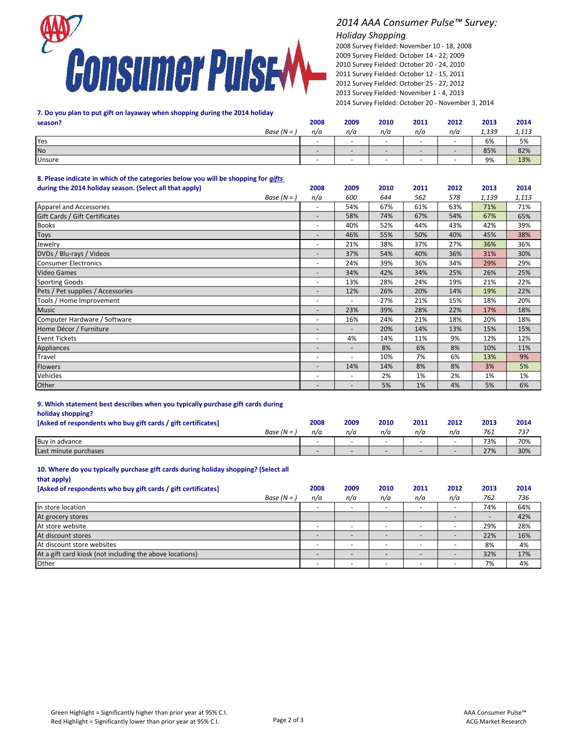

## *2014 AAA Consumer Pulse™ Survey:*

## *Holiday Shopping*

2014 Survey Fielded: October 20 - November 3, 2014 2008 Survey Fielded: November 10 - 18, 2008 2009 Survey Fielded: October 14 - 22, 2009 2010 Survey Fielded: October 20 - 24, 2010 2011 Survey Fielded: October 12 - 15, 2011 2012 Survey Fielded: October 25 - 27, 2012 2013 Survey Fielded: November 1 - 4, 2013

# **7. Do you plan to put gift on layaway when shopping during the 2014 holiday**

| season?       | 2008                     | 2009                     | 2010 | 2011                     | 2012                     | 2013  | 2014  |
|---------------|--------------------------|--------------------------|------|--------------------------|--------------------------|-------|-------|
| Base $(N =$   | n/a                      | n/a                      | n/a  | n/a                      | n/a                      | 1,139 | 1,113 |
| Yes           | -                        | $\overline{\phantom{0}}$ |      | $\overline{\phantom{0}}$ |                          | 6%    | 5%    |
| <b>No</b>     | $\overline{\phantom{0}}$ | $\overline{\phantom{0}}$ |      | $\overline{\phantom{0}}$ |                          | 85%   | 82%   |
| <b>Unsure</b> | $\overline{\phantom{a}}$ | $\overline{\phantom{0}}$ |      | $\overline{\phantom{0}}$ | $\overline{\phantom{0}}$ | 9%    | 13%   |

**8. Please indicate in which of the categories below you will be shopping for** *gifts*  **during the 2014 holiday season. (Select all that apply) 2008 2009 2010 2011 2012 2013 2014**

| www.mg and more chromoly boabour polices an ands apply the |                          |                              |     |     |     |       |       |
|------------------------------------------------------------|--------------------------|------------------------------|-----|-----|-----|-------|-------|
| Base $(N = )$                                              | n/a                      | 600                          | 644 | 562 | 578 | 1,139 | 1,113 |
| Apparel and Accessories                                    |                          | 54%                          | 67% | 61% | 63% | 71%   | 71%   |
| Gift Cards / Gift Certificates                             |                          | 58%                          | 74% | 67% | 54% | 67%   | 65%   |
| <b>Books</b>                                               | ٠                        | 40%                          | 52% | 44% | 43% | 42%   | 39%   |
| <b>Toys</b>                                                | $\overline{\phantom{a}}$ | 46%                          | 55% | 50% | 40% | 45%   | 38%   |
| Jewelry                                                    |                          | 21%                          | 38% | 37% | 27% | 36%   | 36%   |
| DVDs / Blu-rays / Videos                                   | $\overline{\phantom{a}}$ | 37%                          | 54% | 40% | 36% | 31%   | 30%   |
| <b>Consumer Electronics</b>                                | ٠                        | 24%                          | 39% | 36% | 34% | 29%   | 29%   |
| <b>Video Games</b>                                         | $\overline{\phantom{a}}$ | 34%                          | 42% | 34% | 25% | 26%   | 25%   |
| <b>Sporting Goods</b>                                      |                          | 13%                          | 28% | 24% | 19% | 21%   | 22%   |
| Pets / Pet supplies / Accessories                          |                          | 12%                          | 26% | 20% | 14% | 19%   | 22%   |
| Tools / Home Improvement                                   | ٠                        |                              | 27% | 21% | 15% | 18%   | 20%   |
| <b>Music</b>                                               |                          | 23%                          | 39% | 28% | 22% | 17%   | 18%   |
| Computer Hardware / Software                               | ٠                        | 16%                          | 24% | 21% | 18% | 20%   | 18%   |
| Home Décor / Furniture                                     | $\overline{\phantom{a}}$ |                              | 20% | 14% | 13% | 15%   | 15%   |
| <b>Event Tickets</b>                                       | $\sim$                   | 4%                           | 14% | 11% | 9%  | 12%   | 12%   |
| Appliances                                                 |                          | $\qquad \qquad \blacksquare$ | 8%  | 6%  | 8%  | 10%   | 11%   |
| Travel                                                     | $\sim$                   | ٠                            | 10% | 7%  | 6%  | 13%   | 9%    |
| <b>Flowers</b>                                             | $\overline{\phantom{a}}$ | 14%                          | 14% | 8%  | 8%  | 3%    | 5%    |
| Vehicles                                                   | $\overline{\phantom{a}}$ | ٠                            | 2%  | 1%  | 2%  | 1%    | 1%    |
| Other                                                      |                          |                              | 5%  | 1%  | 4%  | 5%    | 6%    |

## **9. Which statement best describes when you typically purchase gift cards during**

**holiday shopping?**

| [Asked of respondents who buy gift cards / gift certificates] | 2008 | 2009 | 2010 | 2011 | 2012 | 2013 | 2014 |
|---------------------------------------------------------------|------|------|------|------|------|------|------|
| Base ( $N =$                                                  | n/a  | n/a  | n/a  | n/a  | n/a  | 761  | 737  |
| Buy in advance                                                | -    |      |      |      | -    | 73%  | 70%  |
| Last minute purchases                                         |      |      |      |      |      | 27%  | 30%  |

#### **10. Where do you typically purchase gift cards during holiday shopping? (Select all**

| that apply)                                                   |                          |      |      |      |      |      |      |
|---------------------------------------------------------------|--------------------------|------|------|------|------|------|------|
| [Asked of respondents who buy gift cards / gift certificates] | 2008                     | 2009 | 2010 | 2011 | 2012 | 2013 | 2014 |
| Base $(N = )$                                                 | n/a                      | n/a  | n/a  | n/a  | n/a  | 762  | 736  |
| In store location                                             |                          |      |      |      |      | 74%  | 64%  |
| At grocery stores                                             |                          |      |      |      |      |      | 42%  |
| At store website                                              |                          |      |      |      |      | 29%  | 28%  |
| At discount stores                                            |                          |      |      |      |      | 22%  | 16%  |
| At discount store websites                                    |                          |      |      |      | -    | 8%   | 4%   |
| At a gift card kiosk (not including the above locations)      |                          |      |      |      |      | 32%  | 17%  |
| Other                                                         | $\overline{\phantom{a}}$ |      |      |      |      | 7%   | 4%   |